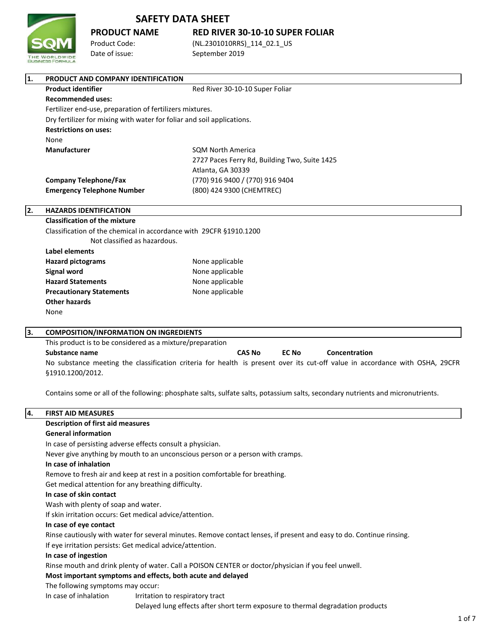

# **PRODUCT NAME RED RIVER 30-10-10 SUPER FOLIAR**

Product Code: (NL.2301010RRS) 114 02.1 US Date of issue: September 2019

| 1.                                                                                                                   | PRODUCT AND COMPANY IDENTIFICATION                        |                                                                                                                              |  |  |  |
|----------------------------------------------------------------------------------------------------------------------|-----------------------------------------------------------|------------------------------------------------------------------------------------------------------------------------------|--|--|--|
|                                                                                                                      | <b>Product identifier</b>                                 | Red River 30-10-10 Super Foliar                                                                                              |  |  |  |
| <b>Recommended uses:</b>                                                                                             |                                                           |                                                                                                                              |  |  |  |
|                                                                                                                      | Fertilizer end-use, preparation of fertilizers mixtures.  |                                                                                                                              |  |  |  |
| Dry fertilizer for mixing with water for foliar and soil applications.                                               |                                                           |                                                                                                                              |  |  |  |
|                                                                                                                      | <b>Restrictions on uses:</b>                              |                                                                                                                              |  |  |  |
|                                                                                                                      | None                                                      |                                                                                                                              |  |  |  |
|                                                                                                                      | Manufacturer                                              | <b>SQM North America</b>                                                                                                     |  |  |  |
|                                                                                                                      |                                                           | 2727 Paces Ferry Rd, Building Two, Suite 1425                                                                                |  |  |  |
|                                                                                                                      |                                                           | Atlanta, GA 30339                                                                                                            |  |  |  |
|                                                                                                                      | <b>Company Telephone/Fax</b>                              | (770) 916 9400 / (770) 916 9404                                                                                              |  |  |  |
|                                                                                                                      | <b>Emergency Telephone Number</b>                         | (800) 424 9300 (CHEMTREC)                                                                                                    |  |  |  |
| 2.                                                                                                                   | <b>HAZARDS IDENTIFICATION</b>                             |                                                                                                                              |  |  |  |
|                                                                                                                      | <b>Classification of the mixture</b>                      |                                                                                                                              |  |  |  |
| Classification of the chemical in accordance with 29CFR §1910.1200<br>Not classified as hazardous.<br>Label elements |                                                           |                                                                                                                              |  |  |  |
|                                                                                                                      |                                                           |                                                                                                                              |  |  |  |
|                                                                                                                      |                                                           |                                                                                                                              |  |  |  |
|                                                                                                                      | <b>Hazard pictograms</b>                                  | None applicable                                                                                                              |  |  |  |
|                                                                                                                      | <b>Signal word</b>                                        | None applicable                                                                                                              |  |  |  |
|                                                                                                                      | <b>Hazard Statements</b>                                  | None applicable                                                                                                              |  |  |  |
|                                                                                                                      | <b>Precautionary Statements</b>                           | None applicable                                                                                                              |  |  |  |
|                                                                                                                      | <b>Other hazards</b>                                      |                                                                                                                              |  |  |  |
|                                                                                                                      | None                                                      |                                                                                                                              |  |  |  |
| Ιз.                                                                                                                  | <b>COMPOSITION/INFORMATION ON INGREDIENTS</b>             |                                                                                                                              |  |  |  |
|                                                                                                                      | This product is to be considered as a mixture/preparation |                                                                                                                              |  |  |  |
|                                                                                                                      | <b>Substance name</b>                                     | <b>CAS No</b><br><b>EC No</b><br>Concentration                                                                               |  |  |  |
|                                                                                                                      |                                                           | No substance meeting the classification criteria for health is present over its cut-off value in accordance with OSHA, 29CFR |  |  |  |
|                                                                                                                      | §1910.1200/2012.                                          |                                                                                                                              |  |  |  |
|                                                                                                                      |                                                           |                                                                                                                              |  |  |  |

Contains some or all of the following: phosphate salts, sulfate salts, potassium salts, secondary nutrients and micronutrients.

## **4. FIRST AID MEASURES Description of first aid measures General information** In case of persisting adverse effects consult a physician. Never give anything by mouth to an unconscious person or a person with cramps. **In case of inhalation** Remove to fresh air and keep at rest in a position comfortable for breathing. Get medical attention for any breathing difficulty. **In case of skin contact** Wash with plenty of soap and water. If skin irritation occurs: Get medical advice/attention. **In case of eye contact** Rinse cautiously with water for several minutes. Remove contact lenses, if present and easy to do. Continue rinsing. If eye irritation persists: Get medical advice/attention. **In case of ingestion** Rinse mouth and drink plenty of water. Call a POISON CENTER or doctor/physician if you feel unwell. **Most important symptoms and effects, both acute and delayed** The following symptoms may occur: In case of inhalation Irritation to respiratory tract Delayed lung effects after short term exposure to thermal degradation products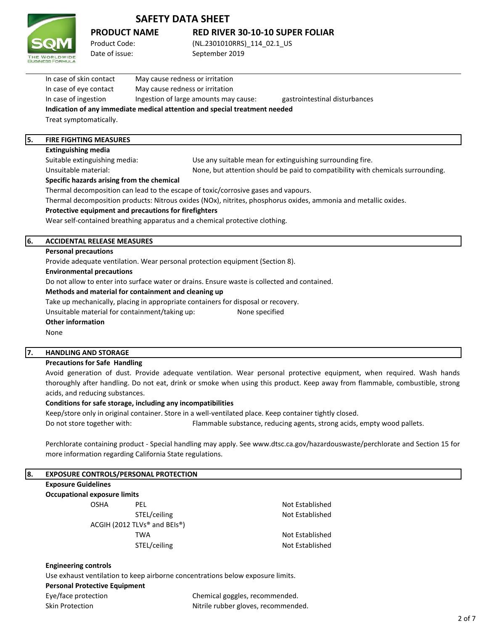

## **PRODUCT NAME RED RIVER 30-10-10 SUPER FOLIAR**

Product Code: (NL.2301010RRS)\_114\_02.1\_US Date of issue: September 2019

| <b>FIRE FIGHTING MEASURES</b> |                                                                            |                               |  |
|-------------------------------|----------------------------------------------------------------------------|-------------------------------|--|
| Treat symptomatically.        | Indication of any immediate medical attention and special treatment needed |                               |  |
|                               |                                                                            |                               |  |
| In case of ingestion          | Ingestion of large amounts may cause:                                      | gastrointestinal disturbances |  |
| In case of eye contact        | May cause redness or irritation                                            |                               |  |
| In case of skin contact       | May cause redness or irritation                                            |                               |  |
|                               |                                                                            |                               |  |

## **Extinguishing media**

Unsuitable material:

Suitable extinguishing media: Use any suitable mean for extinguishing surrounding fire.

**Specific hazards arising from the chemical** None, but attention should be paid to compatibility with chemicals surrounding.

Thermal decomposition can lead to the escape of toxic/corrosive gases and vapours.

Thermal decomposition products: Nitrous oxides (NOx), nitrites, phosphorus oxides, ammonia and metallic oxides.

## **Protective equipment and precautions for firefighters**

Wear self-contained breathing apparatus and a chemical protective clothing.

#### **6. ACCIDENTAL RELEASE MEASURES**

#### **Personal precautions**

Provide adequate ventilation. Wear personal protection equipment (Section 8).

#### **Environmental precautions**

Do not allow to enter into surface water or drains. Ensure waste is collected and contained.

#### **Methods and material for containment and cleaning up**

Take up mechanically, placing in appropriate containers for disposal or recovery.

Unsuitable material for containment/taking up: None specified

#### **Other information**

None

## **7. HANDLING AND STORAGE**

#### **Precautions for Safe Handling**

Avoid generation of dust. Provide adequate ventilation. Wear personal protective equipment, when required. Wash hands thoroughly after handling. Do not eat, drink or smoke when using this product. Keep away from flammable, combustible, strong acids, and reducing substances.

#### **Conditions for safe storage, including any incompatibilities**

Keep/store only in original container. Store in a well-ventilated place. Keep container tightly closed. Do not store together with: Flammable substance, reducing agents, strong acids, empty wood pallets.

Perchlorate containing product - Special handling may apply. See www.dtsc.ca.gov/hazardouswaste/perchlorate and Section 15 for more information regarding California State regulations.

| 8. | <b>EXPOSURE CONTROLS/PERSONAL PROTECTION</b>                                   |                                                       |                                     |
|----|--------------------------------------------------------------------------------|-------------------------------------------------------|-------------------------------------|
|    | <b>Exposure Guidelines</b>                                                     |                                                       |                                     |
|    | <b>Occupational exposure limits</b>                                            |                                                       |                                     |
|    | <b>OSHA</b>                                                                    | <b>PEL</b>                                            | Not Established                     |
|    |                                                                                | STEL/ceiling                                          | Not Established                     |
|    |                                                                                | ACGIH (2012 TLVs <sup>®</sup> and BEIs <sup>®</sup> ) |                                     |
|    |                                                                                | <b>TWA</b>                                            | Not Established                     |
|    |                                                                                | STEL/ceiling                                          | Not Established                     |
|    | <b>Engineering controls</b>                                                    |                                                       |                                     |
|    | Use exhaust ventilation to keep airborne concentrations below exposure limits. |                                                       |                                     |
|    | <b>Personal Protective Equipment</b>                                           |                                                       |                                     |
|    | Eye/face protection                                                            |                                                       | Chemical goggles, recommended.      |
|    | <b>Skin Protection</b>                                                         |                                                       | Nitrile rubber gloves, recommended. |
|    |                                                                                |                                                       |                                     |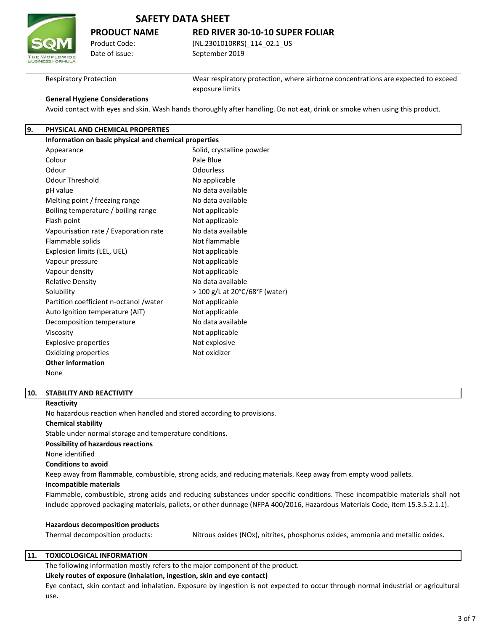

## **PRODUCT NAME RED RIVER 30-10-10 SUPER FOLIAR**

Product Code: (NL.2301010RRS)\_114\_02.1\_US Date of issue: September 2019

Respiratory Protection

Wear respiratory protection, where airborne concentrations are expected to exceed exposure limits

Avoid contact with eyes and skin. Wash hands thoroughly after handling. Do not eat, drink or smoke when using this product.

## **9. PHYSICAL AND CHEMICAL PROPERTIES**

**General Hygiene Considerations**

| Information on basic physical and chemical properties |                                |
|-------------------------------------------------------|--------------------------------|
| Appearance                                            | Solid, crystalline powder      |
| Colour                                                | Pale Blue                      |
| Odour                                                 | Odourless                      |
| <b>Odour Threshold</b>                                | No applicable                  |
| pH value                                              | No data available              |
| Melting point / freezing range                        | No data available              |
| Boiling temperature / boiling range                   | Not applicable                 |
| Flash point                                           | Not applicable                 |
| Vapourisation rate / Evaporation rate                 | No data available              |
| <b>Flammable solids</b>                               | Not flammable                  |
| Explosion limits (LEL, UEL)                           | Not applicable                 |
| Vapour pressure                                       | Not applicable                 |
| Vapour density                                        | Not applicable                 |
| <b>Relative Density</b>                               | No data available              |
| Solubility                                            | > 100 g/L at 20°C/68°F (water) |
| Partition coefficient n-octanol /water                | Not applicable                 |
| Auto Ignition temperature (AIT)                       | Not applicable                 |
| Decomposition temperature                             | No data available              |
| Viscosity                                             | Not applicable                 |
| <b>Explosive properties</b>                           | Not explosive                  |
| Oxidizing properties                                  | Not oxidizer                   |
| <b>Other information</b>                              |                                |
| None                                                  |                                |

#### **10. STABILITY AND REACTIVITY**

#### **Reactivity**

No hazardous reaction when handled and stored according to provisions.

#### **Chemical stability**

Stable under normal storage and temperature conditions.

**Possibility of hazardous reactions**

#### None identified

#### **Conditions to avoid**

Keep away from flammable, combustible, strong acids, and reducing materials. Keep away from empty wood pallets.

## **Incompatible materials**

Flammable, combustible, strong acids and reducing substances under specific conditions. These incompatible materials shall not include approved packaging materials, pallets, or other dunnage (NFPA 400/2016, Hazardous Materials Code, item 15.3.5.2.1.1).

#### **Hazardous decomposition products**

Thermal decomposition products: Nitrous oxides (NOx), nitrites, phosphorus oxides, ammonia and metallic oxides.

#### **11. TOXICOLOGICAL INFORMATION**

The following information mostly refers to the major component of the product.

## **Likely routes of exposure (inhalation, ingestion, skin and eye contact)**

Eye contact, skin contact and inhalation. Exposure by ingestion is not expected to occur through normal industrial or agricultural use.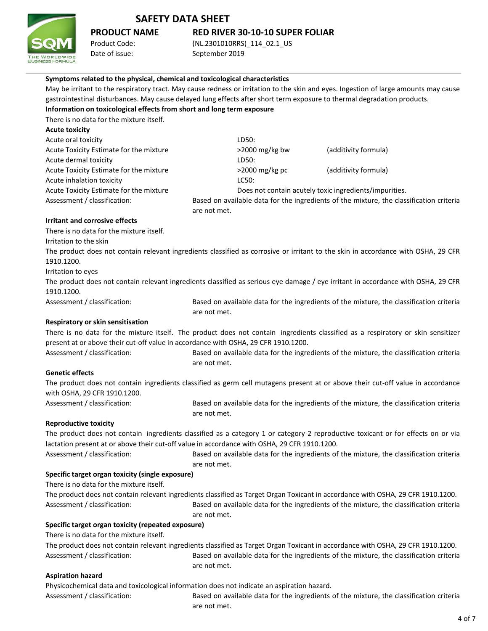

# **PRODUCT NAME RED RIVER 30-10-10 SUPER FOLIAR**

Date of issue: September 2019

Product Code: (NL.2301010RRS)\_114\_02.1\_US

| Symptoms related to the physical, chemical and toxicological characteristics                                                         |                |                                                        |                                                                                         |
|--------------------------------------------------------------------------------------------------------------------------------------|----------------|--------------------------------------------------------|-----------------------------------------------------------------------------------------|
| May be irritant to the respiratory tract. May cause redness or irritation to the skin and eyes. Ingestion of large amounts may cause |                |                                                        |                                                                                         |
| gastrointestinal disturbances. May cause delayed lung effects after short term exposure to thermal degradation products.             |                |                                                        |                                                                                         |
| Information on toxicological effects from short and long term exposure                                                               |                |                                                        |                                                                                         |
| There is no data for the mixture itself.                                                                                             |                |                                                        |                                                                                         |
| <b>Acute toxicity</b>                                                                                                                |                |                                                        |                                                                                         |
| Acute oral toxicity                                                                                                                  | LD50:          |                                                        |                                                                                         |
| Acute Toxicity Estimate for the mixture                                                                                              | >2000 mg/kg bw | (additivity formula)                                   |                                                                                         |
| Acute dermal toxicity                                                                                                                | LD50:          |                                                        |                                                                                         |
| Acute Toxicity Estimate for the mixture                                                                                              | >2000 mg/kg pc | (additivity formula)                                   |                                                                                         |
| Acute inhalation toxicity                                                                                                            | LC50:          |                                                        |                                                                                         |
| Acute Toxicity Estimate for the mixture                                                                                              |                | Does not contain acutely toxic ingredients/impurities. |                                                                                         |
| Assessment / classification:                                                                                                         |                |                                                        | Based on available data for the ingredients of the mixture, the classification criteria |
|                                                                                                                                      | are not met.   |                                                        |                                                                                         |
| <b>Irritant and corrosive effects</b>                                                                                                |                |                                                        |                                                                                         |
| There is no data for the mixture itself.                                                                                             |                |                                                        |                                                                                         |
| Irritation to the skin                                                                                                               |                |                                                        |                                                                                         |
| The product does not contain relevant ingredients classified as corrosive or irritant to the skin in accordance with OSHA, 29 CFR    |                |                                                        |                                                                                         |
| 1910.1200.                                                                                                                           |                |                                                        |                                                                                         |
| Irritation to eyes                                                                                                                   |                |                                                        |                                                                                         |
| The product does not contain relevant ingredients classified as serious eye damage / eye irritant in accordance with OSHA, 29 CFR    |                |                                                        |                                                                                         |
| 1910.1200.                                                                                                                           |                |                                                        |                                                                                         |
| Assessment / classification:                                                                                                         |                |                                                        | Based on available data for the ingredients of the mixture, the classification criteria |
|                                                                                                                                      | are not met.   |                                                        |                                                                                         |
| Respiratory or skin sensitisation                                                                                                    |                |                                                        |                                                                                         |
| There is no data for the mixture itself. The product does not contain ingredients classified as a respiratory or skin sensitizer     |                |                                                        |                                                                                         |
| present at or above their cut-off value in accordance with OSHA, 29 CFR 1910.1200.                                                   |                |                                                        |                                                                                         |
| Assessment / classification:                                                                                                         |                |                                                        | Based on available data for the ingredients of the mixture, the classification criteria |
|                                                                                                                                      | are not met.   |                                                        |                                                                                         |
| <b>Genetic effects</b>                                                                                                               |                |                                                        |                                                                                         |
| The product does not contain ingredients classified as germ cell mutagens present at or above their cut-off value in accordance      |                |                                                        |                                                                                         |
| with OSHA, 29 CFR 1910.1200.                                                                                                         |                |                                                        |                                                                                         |
| Assessment / classification:                                                                                                         |                |                                                        | Based on available data for the ingredients of the mixture, the classification criteria |
|                                                                                                                                      | are not met.   |                                                        |                                                                                         |
| <b>Reproductive toxicity</b>                                                                                                         |                |                                                        |                                                                                         |
| The product does not contain ingredients classified as a category 1 or category 2 reproductive toxicant or for effects on or via     |                |                                                        |                                                                                         |
| lactation present at or above their cut-off value in accordance with OSHA, 29 CFR 1910.1200.                                         |                |                                                        |                                                                                         |
| Assessment / classification:                                                                                                         |                |                                                        | Based on available data for the ingredients of the mixture, the classification criteria |
|                                                                                                                                      | are not met.   |                                                        |                                                                                         |
| Specific target organ toxicity (single exposure)                                                                                     |                |                                                        |                                                                                         |
| There is no data for the mixture itself.                                                                                             |                |                                                        |                                                                                         |
| The product does not contain relevant ingredients classified as Target Organ Toxicant in accordance with OSHA, 29 CFR 1910.1200.     |                |                                                        |                                                                                         |
| Assessment / classification:                                                                                                         |                |                                                        | Based on available data for the ingredients of the mixture, the classification criteria |
|                                                                                                                                      | are not met.   |                                                        |                                                                                         |
| Specific target organ toxicity (repeated exposure)                                                                                   |                |                                                        |                                                                                         |
| There is no data for the mixture itself.                                                                                             |                |                                                        |                                                                                         |
| The product does not contain relevant ingredients classified as Target Organ Toxicant in accordance with OSHA, 29 CFR 1910.1200.     |                |                                                        |                                                                                         |
| Assessment / classification:                                                                                                         |                |                                                        | Based on available data for the ingredients of the mixture, the classification criteria |
|                                                                                                                                      | are not met.   |                                                        |                                                                                         |
| <b>Aspiration hazard</b>                                                                                                             |                |                                                        |                                                                                         |
| Physicochemical data and toxicological information does not indicate an aspiration hazard.                                           |                |                                                        |                                                                                         |
| Assessment / classification:                                                                                                         |                |                                                        | Based on available data for the ingredients of the mixture, the classification criteria |

are not met.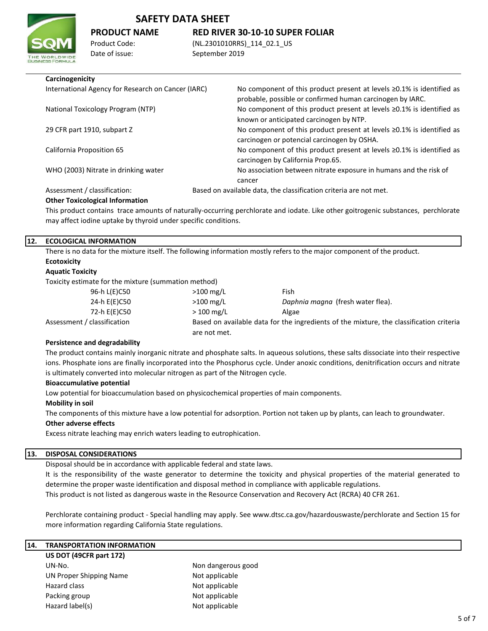

# **PRODUCT NAME RED RIVER 30-10-10 SUPER FOLIAR**

Product Code: (NL.2301010RRS)\_114\_02.1\_US Date of issue: September 2019

### **Carcinogenicity**

| International Agency for Research on Cancer (IARC) | No component of this product present at levels $\geq$ 0.1% is identified as<br>probable, possible or confirmed human carcinogen by IARC. |
|----------------------------------------------------|------------------------------------------------------------------------------------------------------------------------------------------|
| National Toxicology Program (NTP)                  | No component of this product present at levels $\geq 0.1\%$ is identified as<br>known or anticipated carcinogen by NTP.                  |
| 29 CFR part 1910, subpart Z                        | No component of this product present at levels $\geq 0.1\%$ is identified as<br>carcinogen or potencial carcinogen by OSHA.              |
| California Proposition 65                          | No component of this product present at levels $\geq 0.1\%$ is identified as<br>carcinogen by California Prop.65.                        |
| WHO (2003) Nitrate in drinking water               | No association between nitrate exposure in humans and the risk of                                                                        |
|                                                    | cancer                                                                                                                                   |
| Assessment / classification:                       | Based on available data, the classification criteria are not met.                                                                        |

# **Other Toxicological Information**

This product contains trace amounts of naturally-occurring perchlorate and iodate. Like other goitrogenic substances, perchlorate may affect iodine uptake by thyroid under specific conditions.

### **12. ECOLOGICAL INFORMATION**

There is no data for the mixture itself. The following information mostly refers to the major component of the product. **Ecotoxicity**

## **Aquatic Toxicity**

Toxicity estimate for the mixture (summation method)

| 96-h L(E)C50                | $>100$ mg/L  | Fish                                                                                    |
|-----------------------------|--------------|-----------------------------------------------------------------------------------------|
| 24-h E(E)C50                | $>100$ mg/L  | Daphnia magna (fresh water flea).                                                       |
| 72-h E(E)C50                | $>100$ mg/L  | Algae                                                                                   |
| Assessment / classification |              | Based on available data for the ingredients of the mixture, the classification criteria |
|                             | are not met. |                                                                                         |

#### **Persistence and degradability**

The product contains mainly inorganic nitrate and phosphate salts. In aqueous solutions, these salts dissociate into their respective ions. Phosphate ions are finally incorporated into the Phosphorus cycle. Under anoxic conditions, denitrification occurs and nitrate is ultimately converted into molecular nitrogen as part of the Nitrogen cycle.

#### **Bioaccumulative potential**

Low potential for bioaccumulation based on physicochemical properties of main components.

#### **Mobility in soil**

The components of this mixture have a low potential for adsorption. Portion not taken up by plants, can leach to groundwater.

#### **Other adverse effects**

Excess nitrate leaching may enrich waters leading to eutrophication.

Hazard label(s) Not applicable

## **13. DISPOSAL CONSIDERATIONS**

Disposal should be in accordance with applicable federal and state laws.

This product is not listed as dangerous waste in the Resource Conservation and Recovery Act (RCRA) 40 CFR 261. It is the responsibility of the waste generator to determine the toxicity and physical properties of the material generated to determine the proper waste identification and disposal method in compliance with applicable regulations.

Perchlorate containing product - Special handling may apply. See www.dtsc.ca.gov/hazardouswaste/perchlorate and Section 15 for more information regarding California State regulations.

| I14. | <b>TRANSPORTATION INFORMATION</b> |                    |
|------|-----------------------------------|--------------------|
|      | US DOT (49CFR part 172)           |                    |
|      | UN-No.                            | Non dangerous good |
|      | <b>UN Proper Shipping Name</b>    | Not applicable     |
|      | Hazard class                      | Not applicable     |
|      | Packing group                     | Not applicable     |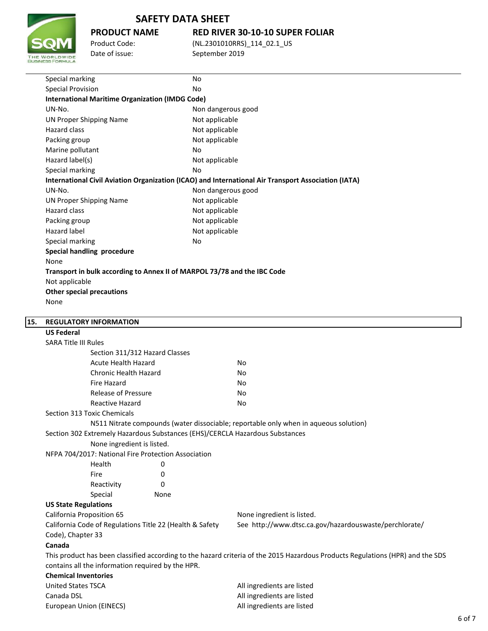

**PRODUCT NAME RED RIVER 30-10-10 SUPER FOLIAR**

Product Code: (NL.2301010RRS)\_114\_02.1\_US Date of issue: September 2019

|     | Special marking                                                                                     | No                                                                       |                                                                                      |  |  |  |
|-----|-----------------------------------------------------------------------------------------------------|--------------------------------------------------------------------------|--------------------------------------------------------------------------------------|--|--|--|
|     | <b>Special Provision</b>                                                                            | No                                                                       |                                                                                      |  |  |  |
|     | <b>International Maritime Organization (IMDG Code)</b>                                              |                                                                          |                                                                                      |  |  |  |
|     | UN-No.                                                                                              | Non dangerous good                                                       |                                                                                      |  |  |  |
|     | <b>UN Proper Shipping Name</b>                                                                      | Not applicable                                                           |                                                                                      |  |  |  |
|     | <b>Hazard class</b>                                                                                 | Not applicable                                                           |                                                                                      |  |  |  |
|     | Packing group                                                                                       | Not applicable                                                           |                                                                                      |  |  |  |
|     | Marine pollutant                                                                                    | No                                                                       |                                                                                      |  |  |  |
|     | Hazard label(s)                                                                                     | Not applicable                                                           |                                                                                      |  |  |  |
|     | Special marking                                                                                     | No                                                                       |                                                                                      |  |  |  |
|     | International Civil Aviation Organization (ICAO) and International Air Transport Association (IATA) |                                                                          |                                                                                      |  |  |  |
|     | UN-No.                                                                                              | Non dangerous good                                                       |                                                                                      |  |  |  |
|     | <b>UN Proper Shipping Name</b>                                                                      | Not applicable                                                           |                                                                                      |  |  |  |
|     | Hazard class                                                                                        | Not applicable                                                           |                                                                                      |  |  |  |
|     | Packing group                                                                                       | Not applicable                                                           |                                                                                      |  |  |  |
|     | <b>Hazard label</b>                                                                                 | Not applicable                                                           |                                                                                      |  |  |  |
|     | Special marking                                                                                     | No                                                                       |                                                                                      |  |  |  |
|     | <b>Special handling procedure</b>                                                                   |                                                                          |                                                                                      |  |  |  |
|     | None                                                                                                |                                                                          |                                                                                      |  |  |  |
|     |                                                                                                     | Transport in bulk according to Annex II of MARPOL 73/78 and the IBC Code |                                                                                      |  |  |  |
|     | Not applicable                                                                                      |                                                                          |                                                                                      |  |  |  |
|     | <b>Other special precautions</b>                                                                    |                                                                          |                                                                                      |  |  |  |
|     | None                                                                                                |                                                                          |                                                                                      |  |  |  |
| 15. | <b>REGULATORY INFORMATION</b>                                                                       |                                                                          |                                                                                      |  |  |  |
|     | <b>US Federal</b>                                                                                   |                                                                          |                                                                                      |  |  |  |
|     | <b>SARA Title III Rules</b>                                                                         |                                                                          |                                                                                      |  |  |  |
|     | Section 311/312 Hazard Classes                                                                      |                                                                          |                                                                                      |  |  |  |
|     | <b>Acute Health Hazard</b>                                                                          |                                                                          | No                                                                                   |  |  |  |
|     | Chronic Health Hazard                                                                               |                                                                          | No                                                                                   |  |  |  |
|     | Fire Hazard                                                                                         |                                                                          | No                                                                                   |  |  |  |
|     | <b>Release of Pressure</b>                                                                          |                                                                          | No                                                                                   |  |  |  |
|     | <b>Reactive Hazard</b>                                                                              |                                                                          | No                                                                                   |  |  |  |
|     | <b>Section 313 Toxic Chemicals</b>                                                                  |                                                                          |                                                                                      |  |  |  |
|     |                                                                                                     |                                                                          | N511 Nitrate compounds (water dissociable; reportable only when in aqueous solution) |  |  |  |
|     | Section 302 Extremely Hazardous Substances (EHS)/CERCLA Hazardous Substances                        |                                                                          |                                                                                      |  |  |  |
|     | None ingredient is listed.                                                                          |                                                                          |                                                                                      |  |  |  |
|     | NFPA 704/2017: National Fire Protection Association                                                 |                                                                          |                                                                                      |  |  |  |
|     | Health                                                                                              | 0                                                                        |                                                                                      |  |  |  |
|     | Fire                                                                                                | 0                                                                        |                                                                                      |  |  |  |
|     | Reactivity                                                                                          | 0                                                                        |                                                                                      |  |  |  |
|     | Special                                                                                             | None                                                                     |                                                                                      |  |  |  |
|     | <b>US State Regulations</b>                                                                         |                                                                          |                                                                                      |  |  |  |
|     | <b>California Proposition 65</b>                                                                    |                                                                          | None ingredient is listed.                                                           |  |  |  |
|     | California Code of Regulations Title 22 (Health & Safety                                            |                                                                          | See http://www.dtsc.ca.gov/hazardouswaste/perchlorate/                               |  |  |  |
|     | Code), Chapter 33                                                                                   |                                                                          |                                                                                      |  |  |  |
|     | Canada                                                                                              |                                                                          |                                                                                      |  |  |  |

This product has been classified according to the hazard criteria of the 2015 Hazardous Products Regulations (HPR) and the SDS contains all the information required by the HPR.

## **Chemical Inventories**

| All ingredients are listed |
|----------------------------|
| All ingredients are listed |
| All ingredients are listed |
|                            |